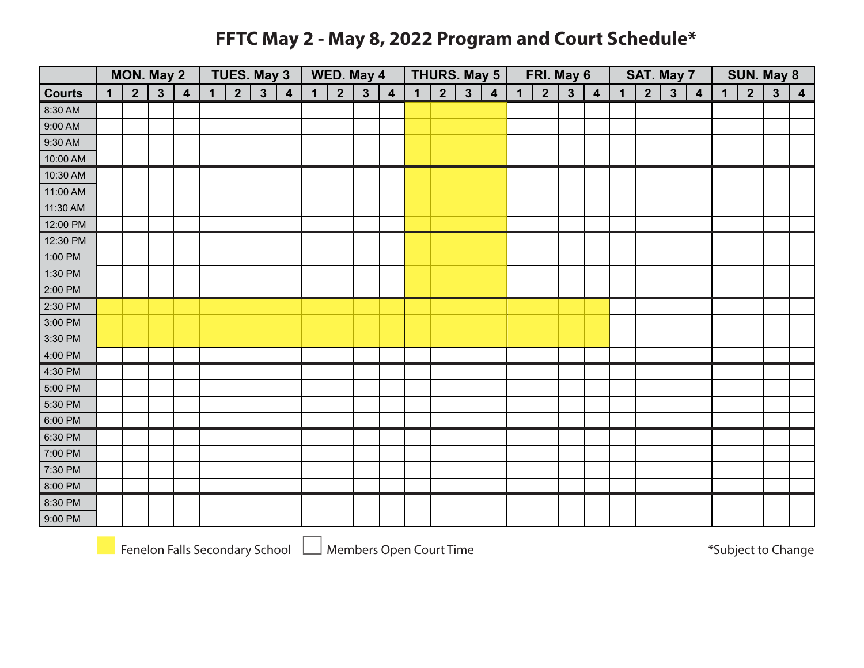## **FFTC May 2 - May 8, 2022 Program and Court Schedule\***

|               |             | MON. May 2     |              |                         |              | <b>TUES. May 3</b> |              |                  |             | WED. May 4     |              |                         |             | <b>THURS. May 5</b> |                |                         |             | FRI. May 6      |              |                         |             |                | SAT. May 7   |                         |             |                | SUN. May 8      |                         |
|---------------|-------------|----------------|--------------|-------------------------|--------------|--------------------|--------------|------------------|-------------|----------------|--------------|-------------------------|-------------|---------------------|----------------|-------------------------|-------------|-----------------|--------------|-------------------------|-------------|----------------|--------------|-------------------------|-------------|----------------|-----------------|-------------------------|
| <b>Courts</b> | $\mathbf 1$ | $\overline{2}$ | $\mathbf{3}$ | $\overline{\mathbf{4}}$ | $\mathbf{1}$ | $\overline{2}$     | $\mathbf{3}$ | $\boldsymbol{4}$ | $\mathbf 1$ | $\overline{2}$ | $\mathbf{3}$ | $\overline{\mathbf{4}}$ | $\mathbf 1$ | $2\overline{ }$     | $\overline{3}$ | $\overline{\mathbf{4}}$ | $\mathbf 1$ | $2\overline{ }$ | $\mathbf{3}$ | $\overline{\mathbf{4}}$ | $\mathbf 1$ | $\overline{2}$ | $\mathbf{3}$ | $\overline{\mathbf{4}}$ | $\mathbf 1$ | $\overline{2}$ | $3\overline{3}$ | $\overline{\mathbf{4}}$ |
| 8:30 AM       |             |                |              |                         |              |                    |              |                  |             |                |              |                         |             |                     |                |                         |             |                 |              |                         |             |                |              |                         |             |                |                 |                         |
| 9:00 AM       |             |                |              |                         |              |                    |              |                  |             |                |              |                         |             |                     |                |                         |             |                 |              |                         |             |                |              |                         |             |                |                 |                         |
| 9:30 AM       |             |                |              |                         |              |                    |              |                  |             |                |              |                         |             |                     |                |                         |             |                 |              |                         |             |                |              |                         |             |                |                 |                         |
| 10:00 AM      |             |                |              |                         |              |                    |              |                  |             |                |              |                         |             |                     |                |                         |             |                 |              |                         |             |                |              |                         |             |                |                 |                         |
| 10:30 AM      |             |                |              |                         |              |                    |              |                  |             |                |              |                         |             |                     |                |                         |             |                 |              |                         |             |                |              |                         |             |                |                 |                         |
| 11:00 AM      |             |                |              |                         |              |                    |              |                  |             |                |              |                         |             |                     |                |                         |             |                 |              |                         |             |                |              |                         |             |                |                 |                         |
| 11:30 AM      |             |                |              |                         |              |                    |              |                  |             |                |              |                         |             |                     |                |                         |             |                 |              |                         |             |                |              |                         |             |                |                 |                         |
| 12:00 PM      |             |                |              |                         |              |                    |              |                  |             |                |              |                         |             |                     |                |                         |             |                 |              |                         |             |                |              |                         |             |                |                 |                         |
| 12:30 PM      |             |                |              |                         |              |                    |              |                  |             |                |              |                         |             |                     |                |                         |             |                 |              |                         |             |                |              |                         |             |                |                 |                         |
| 1:00 PM       |             |                |              |                         |              |                    |              |                  |             |                |              |                         |             |                     |                |                         |             |                 |              |                         |             |                |              |                         |             |                |                 |                         |
| 1:30 PM       |             |                |              |                         |              |                    |              |                  |             |                |              |                         |             |                     |                |                         |             |                 |              |                         |             |                |              |                         |             |                |                 |                         |
| 2:00 PM       |             |                |              |                         |              |                    |              |                  |             |                |              |                         |             |                     |                |                         |             |                 |              |                         |             |                |              |                         |             |                |                 |                         |
| 2:30 PM       |             |                |              |                         |              |                    |              |                  |             |                |              |                         |             |                     |                |                         |             |                 |              |                         |             |                |              |                         |             |                |                 |                         |
| 3:00 PM       |             |                |              |                         |              |                    |              |                  |             |                |              |                         |             |                     |                |                         |             |                 |              |                         |             |                |              |                         |             |                |                 |                         |
| 3:30 PM       |             |                |              |                         |              |                    |              |                  |             |                |              |                         |             |                     |                |                         |             |                 |              |                         |             |                |              |                         |             |                |                 |                         |
| 4:00 PM       |             |                |              |                         |              |                    |              |                  |             |                |              |                         |             |                     |                |                         |             |                 |              |                         |             |                |              |                         |             |                |                 |                         |
| 4:30 PM       |             |                |              |                         |              |                    |              |                  |             |                |              |                         |             |                     |                |                         |             |                 |              |                         |             |                |              |                         |             |                |                 |                         |
| 5:00 PM       |             |                |              |                         |              |                    |              |                  |             |                |              |                         |             |                     |                |                         |             |                 |              |                         |             |                |              |                         |             |                |                 |                         |
| 5:30 PM       |             |                |              |                         |              |                    |              |                  |             |                |              |                         |             |                     |                |                         |             |                 |              |                         |             |                |              |                         |             |                |                 |                         |
| 6:00 PM       |             |                |              |                         |              |                    |              |                  |             |                |              |                         |             |                     |                |                         |             |                 |              |                         |             |                |              |                         |             |                |                 |                         |
| 6:30 PM       |             |                |              |                         |              |                    |              |                  |             |                |              |                         |             |                     |                |                         |             |                 |              |                         |             |                |              |                         |             |                |                 |                         |
| 7:00 PM       |             |                |              |                         |              |                    |              |                  |             |                |              |                         |             |                     |                |                         |             |                 |              |                         |             |                |              |                         |             |                |                 |                         |
| 7:30 PM       |             |                |              |                         |              |                    |              |                  |             |                |              |                         |             |                     |                |                         |             |                 |              |                         |             |                |              |                         |             |                |                 |                         |
| 8:00 PM       |             |                |              |                         |              |                    |              |                  |             |                |              |                         |             |                     |                |                         |             |                 |              |                         |             |                |              |                         |             |                |                 |                         |
| 8:30 PM       |             |                |              |                         |              |                    |              |                  |             |                |              |                         |             |                     |                |                         |             |                 |              |                         |             |                |              |                         |             |                |                 |                         |
| 9:00 PM       |             |                |              |                         |              |                    |              |                  |             |                |              |                         |             |                     |                |                         |             |                 |              |                         |             |                |              |                         |             |                |                 |                         |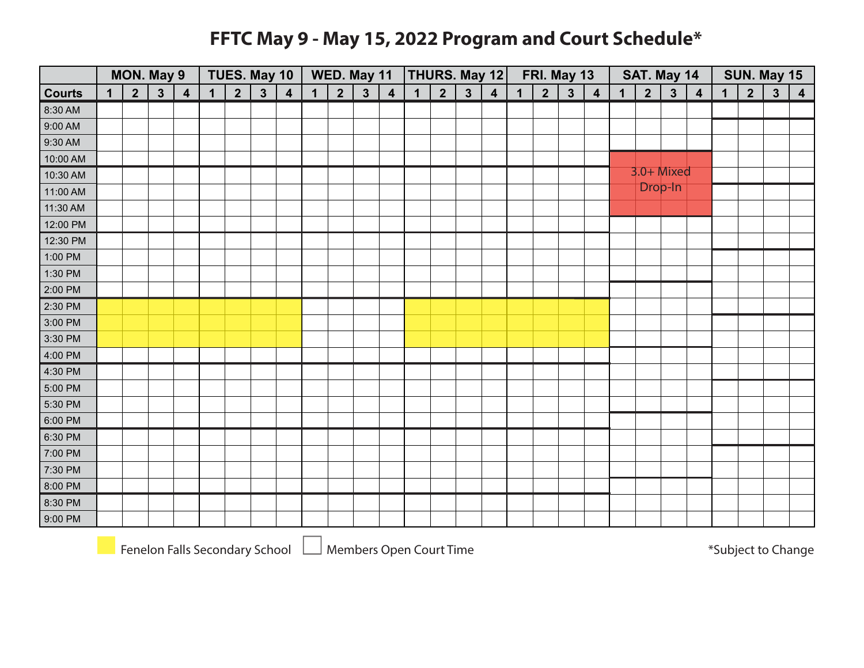## **FFTC May 9 - May 15, 2022 Program and Court Schedule\***

|               | MON. May 9<br>$\overline{2}$<br>3 <sup>5</sup><br>$\mathbf 1$ |  |  |                         |             | TUES. May 10   |              |                  |              | WED. May 11    |              |                         |             |                |              | THURS. May 12           |             |                 | FRI. May 13  |                         |             | SAT. May 14    |              |                         |             |                | SUN. May 15  |                         |
|---------------|---------------------------------------------------------------|--|--|-------------------------|-------------|----------------|--------------|------------------|--------------|----------------|--------------|-------------------------|-------------|----------------|--------------|-------------------------|-------------|-----------------|--------------|-------------------------|-------------|----------------|--------------|-------------------------|-------------|----------------|--------------|-------------------------|
| <b>Courts</b> |                                                               |  |  | $\overline{\mathbf{4}}$ | $\mathbf 1$ | $\overline{2}$ | $\mathbf{3}$ | $\boldsymbol{4}$ | $\mathbf{1}$ | 2 <sup>1</sup> | $\mathbf{3}$ | $\overline{\mathbf{4}}$ | $\mathbf 1$ | $\overline{2}$ | $\mathbf{3}$ | $\overline{\mathbf{4}}$ | $\mathbf 1$ | $2\overline{ }$ | $\mathbf{3}$ | $\overline{\mathbf{4}}$ | $\mathbf 1$ | $\overline{2}$ | $\mathbf{3}$ | $\overline{\mathbf{4}}$ | $\mathbf 1$ | $\overline{2}$ | $\mathbf{3}$ | $\overline{\mathbf{4}}$ |
| 8:30 AM       |                                                               |  |  |                         |             |                |              |                  |              |                |              |                         |             |                |              |                         |             |                 |              |                         |             |                |              |                         |             |                |              |                         |
| 9:00 AM       |                                                               |  |  |                         |             |                |              |                  |              |                |              |                         |             |                |              |                         |             |                 |              |                         |             |                |              |                         |             |                |              |                         |
| 9:30 AM       |                                                               |  |  |                         |             |                |              |                  |              |                |              |                         |             |                |              |                         |             |                 |              |                         |             |                |              |                         |             |                |              |                         |
| 10:00 AM      |                                                               |  |  |                         |             |                |              |                  |              |                |              |                         |             |                |              |                         |             |                 |              |                         |             |                |              |                         |             |                |              |                         |
| 10:30 AM      |                                                               |  |  |                         |             |                |              |                  |              |                |              |                         |             |                |              |                         |             |                 |              |                         |             | $3.0 +$ Mixed  |              |                         |             |                |              |                         |
| 11:00 AM      |                                                               |  |  |                         |             |                |              |                  |              |                |              |                         |             |                |              |                         |             |                 |              |                         |             |                | Drop-In      |                         |             |                |              |                         |
| 11:30 AM      |                                                               |  |  |                         |             |                |              |                  |              |                |              |                         |             |                |              |                         |             |                 |              |                         |             |                |              |                         |             |                |              |                         |
| 12:00 PM      |                                                               |  |  |                         |             |                |              |                  |              |                |              |                         |             |                |              |                         |             |                 |              |                         |             |                |              |                         |             |                |              |                         |
| 12:30 PM      |                                                               |  |  |                         |             |                |              |                  |              |                |              |                         |             |                |              |                         |             |                 |              |                         |             |                |              |                         |             |                |              |                         |
| 1:00 PM       |                                                               |  |  |                         |             |                |              |                  |              |                |              |                         |             |                |              |                         |             |                 |              |                         |             |                |              |                         |             |                |              |                         |
| 1:30 PM       |                                                               |  |  |                         |             |                |              |                  |              |                |              |                         |             |                |              |                         |             |                 |              |                         |             |                |              |                         |             |                |              |                         |
| 2:00 PM       |                                                               |  |  |                         |             |                |              |                  |              |                |              |                         |             |                |              |                         |             |                 |              |                         |             |                |              |                         |             |                |              |                         |
| 2:30 PM       |                                                               |  |  |                         |             |                |              |                  |              |                |              |                         |             |                |              |                         |             |                 |              |                         |             |                |              |                         |             |                |              |                         |
| 3:00 PM       |                                                               |  |  |                         |             |                |              |                  |              |                |              |                         |             |                |              |                         |             |                 |              |                         |             |                |              |                         |             |                |              |                         |
| 3:30 PM       |                                                               |  |  |                         |             |                |              |                  |              |                |              |                         |             |                |              |                         |             |                 |              |                         |             |                |              |                         |             |                |              |                         |
| 4:00 PM       |                                                               |  |  |                         |             |                |              |                  |              |                |              |                         |             |                |              |                         |             |                 |              |                         |             |                |              |                         |             |                |              |                         |
| 4:30 PM       |                                                               |  |  |                         |             |                |              |                  |              |                |              |                         |             |                |              |                         |             |                 |              |                         |             |                |              |                         |             |                |              |                         |
| 5:00 PM       |                                                               |  |  |                         |             |                |              |                  |              |                |              |                         |             |                |              |                         |             |                 |              |                         |             |                |              |                         |             |                |              |                         |
| 5:30 PM       |                                                               |  |  |                         |             |                |              |                  |              |                |              |                         |             |                |              |                         |             |                 |              |                         |             |                |              |                         |             |                |              |                         |
| 6:00 PM       |                                                               |  |  |                         |             |                |              |                  |              |                |              |                         |             |                |              |                         |             |                 |              |                         |             |                |              |                         |             |                |              |                         |
| 6:30 PM       |                                                               |  |  |                         |             |                |              |                  |              |                |              |                         |             |                |              |                         |             |                 |              |                         |             |                |              |                         |             |                |              |                         |
| 7:00 PM       |                                                               |  |  |                         |             |                |              |                  |              |                |              |                         |             |                |              |                         |             |                 |              |                         |             |                |              |                         |             |                |              |                         |
| 7:30 PM       |                                                               |  |  |                         |             |                |              |                  |              |                |              |                         |             |                |              |                         |             |                 |              |                         |             |                |              |                         |             |                |              |                         |
| 8:00 PM       |                                                               |  |  |                         |             |                |              |                  |              |                |              |                         |             |                |              |                         |             |                 |              |                         |             |                |              |                         |             |                |              |                         |
| 8:30 PM       |                                                               |  |  |                         |             |                |              |                  |              |                |              |                         |             |                |              |                         |             |                 |              |                         |             |                |              |                         |             |                |              |                         |
| 9:00 PM       |                                                               |  |  |                         |             |                |              |                  |              |                |              |                         |             |                |              |                         |             |                 |              |                         |             |                |              |                         |             |                |              |                         |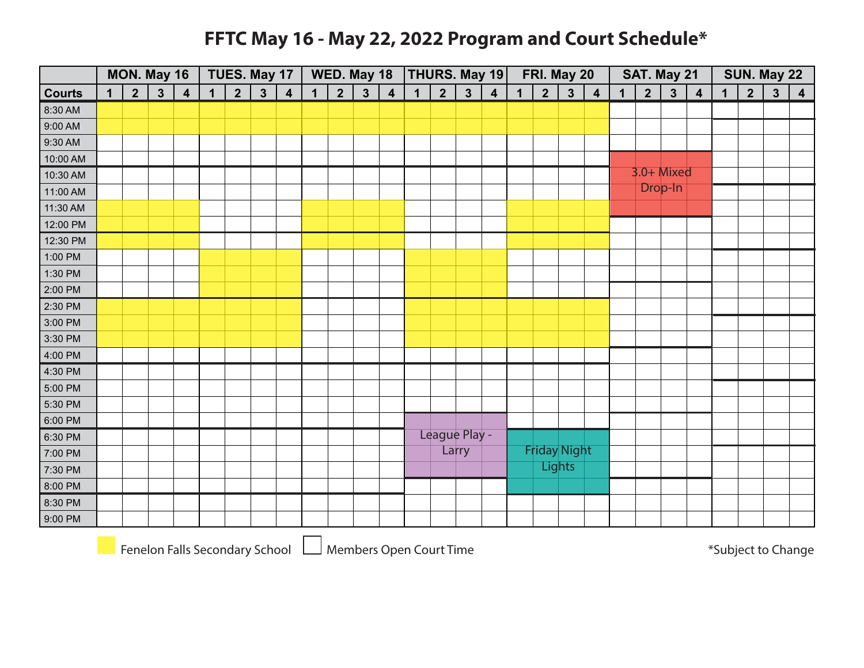#### **FFTC May 16 - May 22, 2022 Program and Court Schedule\***

|               | MON. May 16<br>$\overline{2}$<br>$\mathbf 1$ |  |              |                         |             |                 | TUES. May 17 |                         |             | WED. May 18     |              |                         |             |                |               | THURS. May 19           |             |                | FRI. May 20         |                         |             | SAT. May 21    |              |                  |             |                | SUN. May 22  |                         |
|---------------|----------------------------------------------|--|--------------|-------------------------|-------------|-----------------|--------------|-------------------------|-------------|-----------------|--------------|-------------------------|-------------|----------------|---------------|-------------------------|-------------|----------------|---------------------|-------------------------|-------------|----------------|--------------|------------------|-------------|----------------|--------------|-------------------------|
| <b>Courts</b> |                                              |  | $\mathbf{3}$ | $\overline{\mathbf{4}}$ | $\mathbf 1$ | $2\overline{ }$ | $\mathbf{3}$ | $\overline{\mathbf{4}}$ | $\mathbf 1$ | $2\overline{ }$ | $\mathbf{3}$ | $\overline{\mathbf{4}}$ | $\mathbf 1$ | $\overline{2}$ | $\mathbf{3}$  | $\overline{\mathbf{4}}$ | $\mathbf 1$ | 2 <sup>1</sup> | $\mathbf{3}$        | $\overline{\mathbf{4}}$ | $\mathbf 1$ | $\overline{2}$ | $\mathbf{3}$ | $\boldsymbol{4}$ | $\mathbf 1$ | $\overline{2}$ | $\mathbf{3}$ | $\overline{\mathbf{4}}$ |
| 8:30 AM       |                                              |  |              |                         |             |                 |              |                         |             |                 |              |                         |             |                |               |                         |             |                |                     |                         |             |                |              |                  |             |                |              |                         |
| 9:00 AM       |                                              |  |              |                         |             |                 |              |                         |             |                 |              |                         |             |                |               |                         |             |                |                     |                         |             |                |              |                  |             |                |              |                         |
| 9:30 AM       |                                              |  |              |                         |             |                 |              |                         |             |                 |              |                         |             |                |               |                         |             |                |                     |                         |             |                |              |                  |             |                |              |                         |
| 10:00 AM      |                                              |  |              |                         |             |                 |              |                         |             |                 |              |                         |             |                |               |                         |             |                |                     |                         |             |                |              |                  |             |                |              |                         |
| 10:30 AM      |                                              |  |              |                         |             |                 |              |                         |             |                 |              |                         |             |                |               |                         |             |                |                     |                         |             | 3.0+ Mixed     |              |                  |             |                |              |                         |
| 11:00 AM      |                                              |  |              |                         |             |                 |              |                         |             |                 |              |                         |             |                |               |                         |             |                |                     |                         |             |                | Drop-In      |                  |             |                |              |                         |
| 11:30 AM      |                                              |  |              |                         |             |                 |              |                         |             |                 |              |                         |             |                |               |                         |             |                |                     |                         |             |                |              |                  |             |                |              |                         |
| 12:00 PM      |                                              |  |              |                         |             |                 |              |                         |             |                 |              |                         |             |                |               |                         |             |                |                     |                         |             |                |              |                  |             |                |              |                         |
| 12:30 PM      |                                              |  |              |                         |             |                 |              |                         |             |                 |              |                         |             |                |               |                         |             |                |                     |                         |             |                |              |                  |             |                |              |                         |
| 1:00 PM       |                                              |  |              |                         |             |                 |              |                         |             |                 |              |                         |             |                |               |                         |             |                |                     |                         |             |                |              |                  |             |                |              |                         |
| 1:30 PM       |                                              |  |              |                         |             |                 |              |                         |             |                 |              |                         |             |                |               |                         |             |                |                     |                         |             |                |              |                  |             |                |              |                         |
| 2:00 PM       |                                              |  |              |                         |             |                 |              |                         |             |                 |              |                         |             |                |               |                         |             |                |                     |                         |             |                |              |                  |             |                |              |                         |
| 2:30 PM       |                                              |  |              |                         |             |                 |              |                         |             |                 |              |                         |             |                |               |                         |             |                |                     |                         |             |                |              |                  |             |                |              |                         |
| 3:00 PM       |                                              |  |              |                         |             |                 |              |                         |             |                 |              |                         |             |                |               |                         |             |                |                     |                         |             |                |              |                  |             |                |              |                         |
| 3:30 PM       |                                              |  |              |                         |             |                 |              |                         |             |                 |              |                         |             |                |               |                         |             |                |                     |                         |             |                |              |                  |             |                |              |                         |
| 4:00 PM       |                                              |  |              |                         |             |                 |              |                         |             |                 |              |                         |             |                |               |                         |             |                |                     |                         |             |                |              |                  |             |                |              |                         |
| 4:30 PM       |                                              |  |              |                         |             |                 |              |                         |             |                 |              |                         |             |                |               |                         |             |                |                     |                         |             |                |              |                  |             |                |              |                         |
| 5:00 PM       |                                              |  |              |                         |             |                 |              |                         |             |                 |              |                         |             |                |               |                         |             |                |                     |                         |             |                |              |                  |             |                |              |                         |
| 5:30 PM       |                                              |  |              |                         |             |                 |              |                         |             |                 |              |                         |             |                |               |                         |             |                |                     |                         |             |                |              |                  |             |                |              |                         |
| 6:00 PM       |                                              |  |              |                         |             |                 |              |                         |             |                 |              |                         |             |                |               |                         |             |                |                     |                         |             |                |              |                  |             |                |              |                         |
| 6:30 PM       |                                              |  |              |                         |             |                 |              |                         |             |                 |              |                         |             |                | League Play - |                         |             |                |                     |                         |             |                |              |                  |             |                |              |                         |
| 7:00 PM       |                                              |  |              |                         |             |                 |              |                         |             |                 |              |                         |             |                | Larry         |                         |             |                | <b>Friday Night</b> |                         |             |                |              |                  |             |                |              |                         |
| 7:30 PM       |                                              |  |              |                         |             |                 |              |                         |             |                 |              |                         |             |                |               |                         |             |                | <b>Lights</b>       |                         |             |                |              |                  |             |                |              |                         |
| 8:00 PM       |                                              |  |              |                         |             |                 |              |                         |             |                 |              |                         |             |                |               |                         |             |                |                     |                         |             |                |              |                  |             |                |              |                         |
| 8:30 PM       |                                              |  |              |                         |             |                 |              |                         |             |                 |              |                         |             |                |               |                         |             |                |                     |                         |             |                |              |                  |             |                |              |                         |
| 9:00 PM       |                                              |  |              |                         |             |                 |              |                         |             |                 |              |                         |             |                |               |                         |             |                |                     |                         |             |                |              |                  |             |                |              |                         |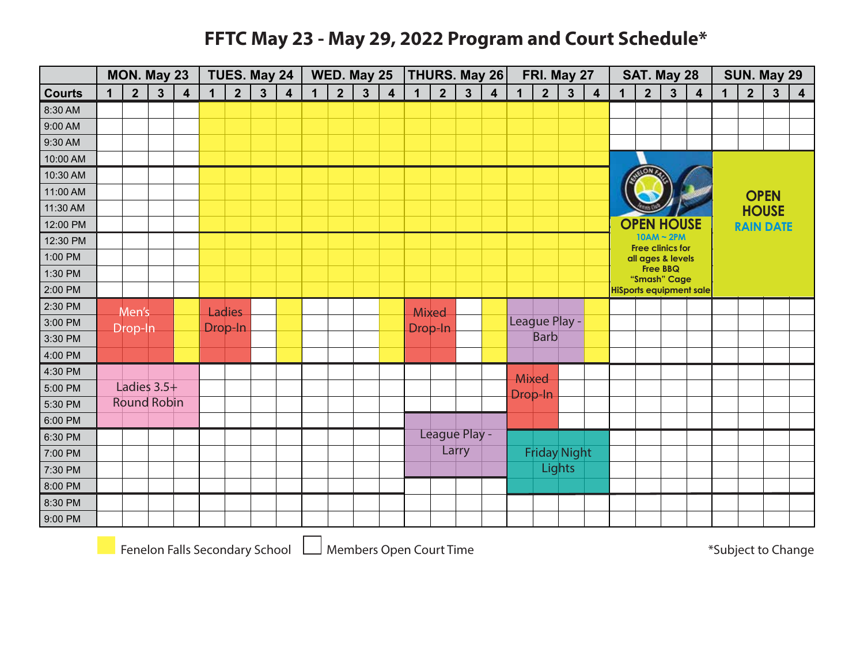#### **FFTC May 23 - May 29, 2022 Program and Court Schedule\***

|               |             | MON. May 23        |                         |                         |   | <b>TUES. May 24</b> |              |                         |              | WED. May 25    |              |                         |             |                 |               | <b>THURS. May 26</b>    |         | FRI. May 27         |               |                         |              | SAT. May 28                                |                 |                                |             |                | SUN. May 29             |                         |
|---------------|-------------|--------------------|-------------------------|-------------------------|---|---------------------|--------------|-------------------------|--------------|----------------|--------------|-------------------------|-------------|-----------------|---------------|-------------------------|---------|---------------------|---------------|-------------------------|--------------|--------------------------------------------|-----------------|--------------------------------|-------------|----------------|-------------------------|-------------------------|
| <b>Courts</b> | $\mathbf 1$ | $\overline{2}$     | $\overline{\mathbf{3}}$ | $\overline{\mathbf{4}}$ | 1 | $\overline{2}$      | $\mathbf{3}$ | $\overline{\mathbf{4}}$ | $\mathbf{1}$ | 2 <sup>1</sup> | $\mathbf{3}$ | $\overline{\mathbf{4}}$ | $\mathbf 1$ | $2\overline{ }$ | $\mathbf{3}$  | $\overline{\mathbf{4}}$ | 1       | $\overline{2}$      | $\mathbf{3}$  | $\overline{\mathbf{4}}$ | $\mathbf{1}$ | $\overline{2}$                             | $3\overline{3}$ | $\overline{\mathbf{4}}$        | $\mathbf 1$ | $\overline{2}$ | $\overline{\mathbf{3}}$ | $\overline{\mathbf{4}}$ |
| 8:30 AM       |             |                    |                         |                         |   |                     |              |                         |              |                |              |                         |             |                 |               |                         |         |                     |               |                         |              |                                            |                 |                                |             |                |                         |                         |
| 9:00 AM       |             |                    |                         |                         |   |                     |              |                         |              |                |              |                         |             |                 |               |                         |         |                     |               |                         |              |                                            |                 |                                |             |                |                         |                         |
| 9:30 AM       |             |                    |                         |                         |   |                     |              |                         |              |                |              |                         |             |                 |               |                         |         |                     |               |                         |              |                                            |                 |                                |             |                |                         |                         |
| 10:00 AM      |             |                    |                         |                         |   |                     |              |                         |              |                |              |                         |             |                 |               |                         |         |                     |               |                         |              |                                            |                 |                                |             |                |                         |                         |
| 10:30 AM      |             |                    |                         |                         |   |                     |              |                         |              |                |              |                         |             |                 |               |                         |         |                     |               |                         |              |                                            |                 |                                |             |                |                         |                         |
| 11:00 AM      |             |                    |                         |                         |   |                     |              |                         |              |                |              |                         |             |                 |               |                         |         |                     |               |                         |              |                                            |                 |                                |             |                | <b>OPEN</b>             |                         |
| 11:30 AM      |             |                    |                         |                         |   |                     |              |                         |              |                |              |                         |             |                 |               |                         |         |                     |               |                         |              |                                            |                 |                                |             |                | <b>HOUSE</b>            |                         |
| 12:00 PM      |             |                    |                         |                         |   |                     |              |                         |              |                |              |                         |             |                 |               |                         |         |                     |               |                         |              | <b>OPEN HOUSE</b>                          |                 |                                |             |                | <b>RAIN DATE</b>        |                         |
| 12:30 PM      |             |                    |                         |                         |   |                     |              |                         |              |                |              |                         |             |                 |               |                         |         |                     |               |                         |              | $10AM \sim 2PM$<br><b>Free clinics for</b> |                 |                                |             |                |                         |                         |
| 1:00 PM       |             |                    |                         |                         |   |                     |              |                         |              |                |              |                         |             |                 |               |                         |         |                     |               |                         |              | all ages & levels                          |                 |                                |             |                |                         |                         |
| 1:30 PM       |             |                    |                         |                         |   |                     |              |                         |              |                |              |                         |             |                 |               |                         |         |                     |               |                         |              | "Smash" Cage                               | <b>Free BBQ</b> |                                |             |                |                         |                         |
| 2:00 PM       |             |                    |                         |                         |   |                     |              |                         |              |                |              |                         |             |                 |               |                         |         |                     |               |                         |              |                                            |                 | <b>HiSports equipment sale</b> |             |                |                         |                         |
| 2:30 PM       |             | Men's              |                         |                         |   | Ladies              |              |                         |              |                |              |                         | Mixed       |                 |               |                         |         |                     |               |                         |              |                                            |                 |                                |             |                |                         |                         |
| 3:00 PM       |             | Drop-In            |                         |                         |   | Drop-In             |              |                         |              |                |              |                         | Drop-In     |                 |               |                         |         | League Play -       |               |                         |              |                                            |                 |                                |             |                |                         |                         |
| 3:30 PM       |             |                    |                         |                         |   |                     |              |                         |              |                |              |                         |             |                 |               |                         |         | <b>Barb</b>         |               |                         |              |                                            |                 |                                |             |                |                         |                         |
| 4:00 PM       |             |                    |                         |                         |   |                     |              |                         |              |                |              |                         |             |                 |               |                         |         |                     |               |                         |              |                                            |                 |                                |             |                |                         |                         |
| 4:30 PM       |             |                    |                         |                         |   |                     |              |                         |              |                |              |                         |             |                 |               |                         | Mixed   |                     |               |                         |              |                                            |                 |                                |             |                |                         |                         |
| 5:00 PM       |             | Ladies $3.5+$      |                         |                         |   |                     |              |                         |              |                |              |                         |             |                 |               |                         | Drop-In |                     |               |                         |              |                                            |                 |                                |             |                |                         |                         |
| 5:30 PM       |             | <b>Round Robin</b> |                         |                         |   |                     |              |                         |              |                |              |                         |             |                 |               |                         |         |                     |               |                         |              |                                            |                 |                                |             |                |                         |                         |
| 6:00 PM       |             |                    |                         |                         |   |                     |              |                         |              |                |              |                         |             |                 |               |                         |         |                     |               |                         |              |                                            |                 |                                |             |                |                         |                         |
| 6:30 PM       |             |                    |                         |                         |   |                     |              |                         |              |                |              |                         |             |                 | League Play - |                         |         |                     |               |                         |              |                                            |                 |                                |             |                |                         |                         |
| 7:00 PM       |             |                    |                         |                         |   |                     |              |                         |              |                |              |                         |             |                 | Larry         |                         |         | <b>Friday Night</b> |               |                         |              |                                            |                 |                                |             |                |                         |                         |
| 7:30 PM       |             |                    |                         |                         |   |                     |              |                         |              |                |              |                         |             |                 |               |                         |         |                     | <b>Lights</b> |                         |              |                                            |                 |                                |             |                |                         |                         |
| 8:00 PM       |             |                    |                         |                         |   |                     |              |                         |              |                |              |                         |             |                 |               |                         |         |                     |               |                         |              |                                            |                 |                                |             |                |                         |                         |
| 8:30 PM       |             |                    |                         |                         |   |                     |              |                         |              |                |              |                         |             |                 |               |                         |         |                     |               |                         |              |                                            |                 |                                |             |                |                         |                         |
| 9:00 PM       |             |                    |                         |                         |   |                     |              |                         |              |                |              |                         |             |                 |               |                         |         |                     |               |                         |              |                                            |                 |                                |             |                |                         |                         |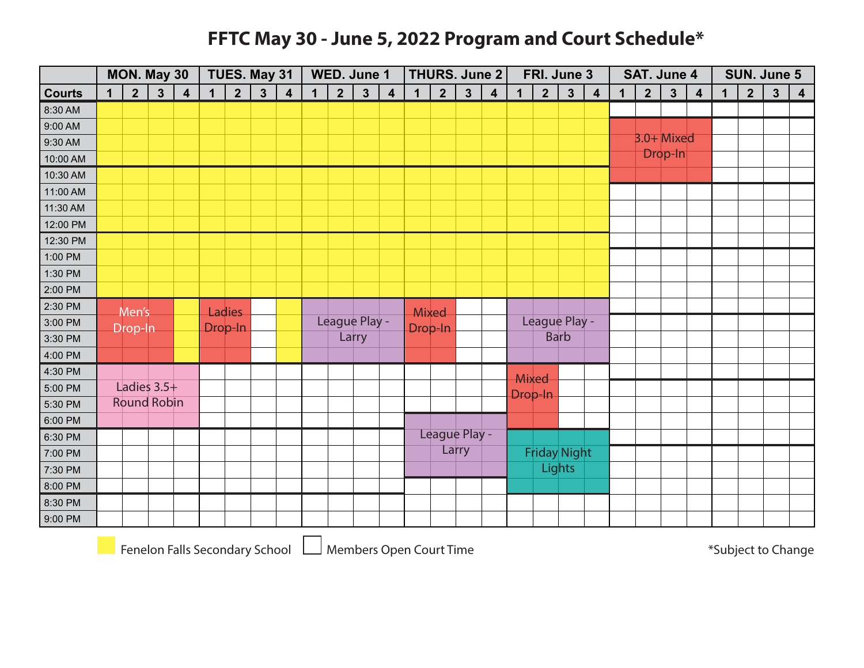#### **FFTC May 30 - June 5, 2022 Program and Court Schedule\***

|               |             |                | <b>MON. May 30</b> |                         |             | TUES. May 31   |              |                         |             |                | WED. June 1   |                         |             |                | <b>THURS. June 2</b> |                         |         |                | FRI. June 3         |                         |             | <b>SAT. June 4</b> |              |                         |             |                | SUN. June 5             |                         |
|---------------|-------------|----------------|--------------------|-------------------------|-------------|----------------|--------------|-------------------------|-------------|----------------|---------------|-------------------------|-------------|----------------|----------------------|-------------------------|---------|----------------|---------------------|-------------------------|-------------|--------------------|--------------|-------------------------|-------------|----------------|-------------------------|-------------------------|
| <b>Courts</b> | $\mathbf 1$ | $\overline{2}$ | $3\overline{3}$    | $\overline{\mathbf{4}}$ | $\mathbf 1$ | 2 <sup>1</sup> | $\mathbf{3}$ | $\overline{\mathbf{4}}$ | $\mathbf 1$ | 2 <sup>2</sup> | $\mathbf{3}$  | $\overline{\mathbf{4}}$ | $\mathbf 1$ | 2 <sup>1</sup> | $\mathbf{3}$         | $\overline{\mathbf{4}}$ | 1       | 2 <sup>1</sup> | $3\overline{3}$     | $\overline{\mathbf{4}}$ | $\mathbf 1$ | $\overline{2}$     | $\mathbf{3}$ | $\overline{\mathbf{4}}$ | $\mathbf 1$ | $\overline{2}$ | $\overline{\mathbf{3}}$ | $\overline{\mathbf{4}}$ |
| 8:30 AM       |             |                |                    |                         |             |                |              |                         |             |                |               |                         |             |                |                      |                         |         |                |                     |                         |             |                    |              |                         |             |                |                         |                         |
| 9:00 AM       |             |                |                    |                         |             |                |              |                         |             |                |               |                         |             |                |                      |                         |         |                |                     |                         |             |                    |              |                         |             |                |                         |                         |
| 9:30 AM       |             |                |                    |                         |             |                |              |                         |             |                |               |                         |             |                |                      |                         |         |                |                     |                         |             | $3.0+$ Mixed       |              |                         |             |                |                         |                         |
| 10:00 AM      |             |                |                    |                         |             |                |              |                         |             |                |               |                         |             |                |                      |                         |         |                |                     |                         |             |                    | Drop-In      |                         |             |                |                         |                         |
| 10:30 AM      |             |                |                    |                         |             |                |              |                         |             |                |               |                         |             |                |                      |                         |         |                |                     |                         |             |                    |              |                         |             |                |                         |                         |
| 11:00 AM      |             |                |                    |                         |             |                |              |                         |             |                |               |                         |             |                |                      |                         |         |                |                     |                         |             |                    |              |                         |             |                |                         |                         |
| 11:30 AM      |             |                |                    |                         |             |                |              |                         |             |                |               |                         |             |                |                      |                         |         |                |                     |                         |             |                    |              |                         |             |                |                         |                         |
| 12:00 PM      |             |                |                    |                         |             |                |              |                         |             |                |               |                         |             |                |                      |                         |         |                |                     |                         |             |                    |              |                         |             |                |                         |                         |
| 12:30 PM      |             |                |                    |                         |             |                |              |                         |             |                |               |                         |             |                |                      |                         |         |                |                     |                         |             |                    |              |                         |             |                |                         |                         |
| 1:00 PM       |             |                |                    |                         |             |                |              |                         |             |                |               |                         |             |                |                      |                         |         |                |                     |                         |             |                    |              |                         |             |                |                         |                         |
| 1:30 PM       |             |                |                    |                         |             |                |              |                         |             |                |               |                         |             |                |                      |                         |         |                |                     |                         |             |                    |              |                         |             |                |                         |                         |
| 2:00 PM       |             |                |                    |                         |             |                |              |                         |             |                |               |                         |             |                |                      |                         |         |                |                     |                         |             |                    |              |                         |             |                |                         |                         |
| 2:30 PM       |             | Men's          |                    |                         |             | <b>Ladies</b>  |              |                         |             |                |               |                         |             | Mixed          |                      |                         |         |                |                     |                         |             |                    |              |                         |             |                |                         |                         |
| 3:00 PM       |             | Drop-In        |                    |                         |             | Drop-In        |              |                         |             |                | League Play - |                         |             | Drop-In        |                      |                         |         |                | League Play -       |                         |             |                    |              |                         |             |                |                         |                         |
| 3:30 PM       |             |                |                    |                         |             |                |              |                         |             |                | Larry         |                         |             |                |                      |                         |         |                | <b>Barb</b>         |                         |             |                    |              |                         |             |                |                         |                         |
| 4:00 PM       |             |                |                    |                         |             |                |              |                         |             |                |               |                         |             |                |                      |                         |         |                |                     |                         |             |                    |              |                         |             |                |                         |                         |
| 4:30 PM       |             |                |                    |                         |             |                |              |                         |             |                |               |                         |             |                |                      |                         | Mixed   |                |                     |                         |             |                    |              |                         |             |                |                         |                         |
| 5:00 PM       |             |                | Ladies $3.5+$      |                         |             |                |              |                         |             |                |               |                         |             |                |                      |                         | Drop-In |                |                     |                         |             |                    |              |                         |             |                |                         |                         |
| 5:30 PM       |             |                | <b>Round Robin</b> |                         |             |                |              |                         |             |                |               |                         |             |                |                      |                         |         |                |                     |                         |             |                    |              |                         |             |                |                         |                         |
| 6:00 PM       |             |                |                    |                         |             |                |              |                         |             |                |               |                         |             |                |                      |                         |         |                |                     |                         |             |                    |              |                         |             |                |                         |                         |
| 6:30 PM       |             |                |                    |                         |             |                |              |                         |             |                |               |                         |             |                | League Play -        |                         |         |                |                     |                         |             |                    |              |                         |             |                |                         |                         |
| 7:00 PM       |             |                |                    |                         |             |                |              |                         |             |                |               |                         |             |                | Larry                |                         |         |                | <b>Friday Night</b> |                         |             |                    |              |                         |             |                |                         |                         |
| 7:30 PM       |             |                |                    |                         |             |                |              |                         |             |                |               |                         |             |                |                      |                         |         |                | Lights              |                         |             |                    |              |                         |             |                |                         |                         |
| 8:00 PM       |             |                |                    |                         |             |                |              |                         |             |                |               |                         |             |                |                      |                         |         |                |                     |                         |             |                    |              |                         |             |                |                         |                         |
| 8:30 PM       |             |                |                    |                         |             |                |              |                         |             |                |               |                         |             |                |                      |                         |         |                |                     |                         |             |                    |              |                         |             |                |                         |                         |
| 9:00 PM       |             |                |                    |                         |             |                |              |                         |             |                |               |                         |             |                |                      |                         |         |                |                     |                         |             |                    |              |                         |             |                |                         |                         |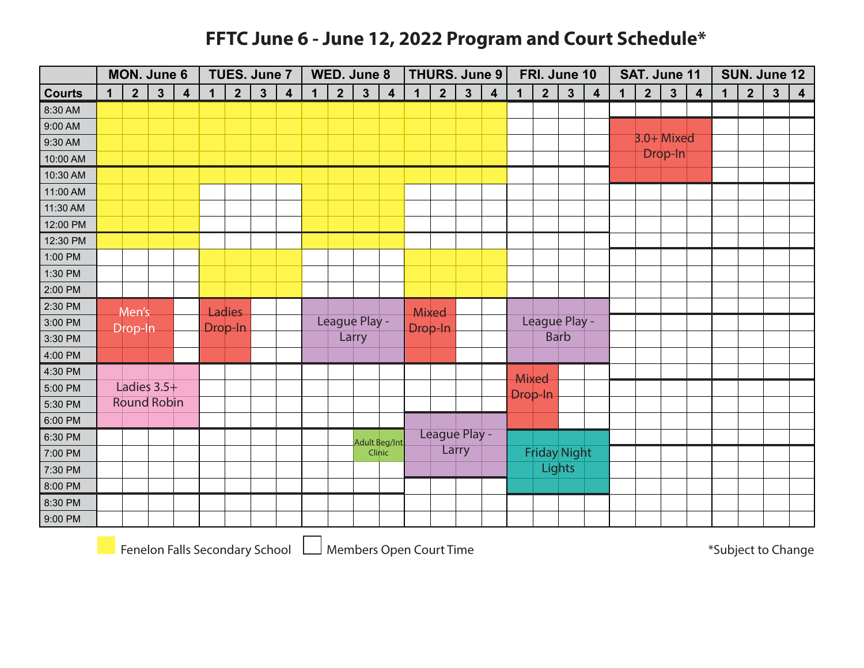#### **FFTC June 6 - June 12, 2022 Program and Court Schedule\***

|               | <b>MON. June 6</b><br>$\overline{2}$<br>$\mathbf{3}$<br>$\mathbf 1$ |         |                    |                         |             | TUES. June 7   |              |                         |             | WED. June 8    |              |                         |             | <b>THURS. June 9</b> |              |                         |              | FRI. June 10        |              |                         |             | SAT. June 11   |              |                         |             |                | SUN. June 12            |                         |
|---------------|---------------------------------------------------------------------|---------|--------------------|-------------------------|-------------|----------------|--------------|-------------------------|-------------|----------------|--------------|-------------------------|-------------|----------------------|--------------|-------------------------|--------------|---------------------|--------------|-------------------------|-------------|----------------|--------------|-------------------------|-------------|----------------|-------------------------|-------------------------|
| <b>Courts</b> |                                                                     |         |                    | $\overline{\mathbf{4}}$ | $\mathbf 1$ | 2 <sup>1</sup> | $\mathbf{3}$ | $\overline{\mathbf{4}}$ | $\mathbf 1$ | $\overline{2}$ | $\mathbf{3}$ | $\overline{\mathbf{4}}$ | $\mathbf 1$ | 2 <sup>2</sup>       | $\mathbf{3}$ | $\overline{\mathbf{4}}$ | $\mathbf{1}$ | $\overline{2}$      | $\mathbf{3}$ | $\overline{\mathbf{4}}$ | $\mathbf 1$ | $\overline{2}$ | $\mathbf{3}$ | $\overline{\mathbf{4}}$ | $\mathbf 1$ | $\overline{2}$ | $\overline{\mathbf{3}}$ | $\overline{\mathbf{4}}$ |
| 8:30 AM       |                                                                     |         |                    |                         |             |                |              |                         |             |                |              |                         |             |                      |              |                         |              |                     |              |                         |             |                |              |                         |             |                |                         |                         |
| 9:00 AM       |                                                                     |         |                    |                         |             |                |              |                         |             |                |              |                         |             |                      |              |                         |              |                     |              |                         |             |                |              |                         |             |                |                         |                         |
| 9:30 AM       |                                                                     |         |                    |                         |             |                |              |                         |             |                |              |                         |             |                      |              |                         |              |                     |              |                         |             | $3.0+$ Mixed   |              |                         |             |                |                         |                         |
| 10:00 AM      |                                                                     |         |                    |                         |             |                |              |                         |             |                |              |                         |             |                      |              |                         |              |                     |              |                         |             |                | Drop-In      |                         |             |                |                         |                         |
| 10:30 AM      |                                                                     |         |                    |                         |             |                |              |                         |             |                |              |                         |             |                      |              |                         |              |                     |              |                         |             |                |              |                         |             |                |                         |                         |
| 11:00 AM      |                                                                     |         |                    |                         |             |                |              |                         |             |                |              |                         |             |                      |              |                         |              |                     |              |                         |             |                |              |                         |             |                |                         |                         |
| 11:30 AM      |                                                                     |         |                    |                         |             |                |              |                         |             |                |              |                         |             |                      |              |                         |              |                     |              |                         |             |                |              |                         |             |                |                         |                         |
| 12:00 PM      |                                                                     |         |                    |                         |             |                |              |                         |             |                |              |                         |             |                      |              |                         |              |                     |              |                         |             |                |              |                         |             |                |                         |                         |
| 12:30 PM      |                                                                     |         |                    |                         |             |                |              |                         |             |                |              |                         |             |                      |              |                         |              |                     |              |                         |             |                |              |                         |             |                |                         |                         |
| 1:00 PM       |                                                                     |         |                    |                         |             |                |              |                         |             |                |              |                         |             |                      |              |                         |              |                     |              |                         |             |                |              |                         |             |                |                         |                         |
| 1:30 PM       |                                                                     |         |                    |                         |             |                |              |                         |             |                |              |                         |             |                      |              |                         |              |                     |              |                         |             |                |              |                         |             |                |                         |                         |
| 2:00 PM       |                                                                     |         |                    |                         |             |                |              |                         |             |                |              |                         |             |                      |              |                         |              |                     |              |                         |             |                |              |                         |             |                |                         |                         |
| 2:30 PM       |                                                                     | Men's   |                    |                         |             | <b>Ladies</b>  |              |                         |             |                |              |                         | Mixed       |                      |              |                         |              |                     |              |                         |             |                |              |                         |             |                |                         |                         |
| 3:00 PM       |                                                                     | Drop-In |                    |                         |             | Drop-In        |              |                         |             | League Play -  |              |                         |             | Drop-In              |              |                         |              | League Play -       |              |                         |             |                |              |                         |             |                |                         |                         |
| 3:30 PM       |                                                                     |         |                    |                         |             |                |              |                         |             |                | Larry        |                         |             |                      |              |                         |              |                     | <b>Barb</b>  |                         |             |                |              |                         |             |                |                         |                         |
| 4:00 PM       |                                                                     |         |                    |                         |             |                |              |                         |             |                |              |                         |             |                      |              |                         |              |                     |              |                         |             |                |              |                         |             |                |                         |                         |
| 4:30 PM       |                                                                     |         |                    |                         |             |                |              |                         |             |                |              |                         |             |                      |              |                         |              | Mixed               |              |                         |             |                |              |                         |             |                |                         |                         |
| 5:00 PM       |                                                                     |         | Ladies $3.5+$      |                         |             |                |              |                         |             |                |              |                         |             |                      |              |                         |              | Drop-In             |              |                         |             |                |              |                         |             |                |                         |                         |
| 5:30 PM       |                                                                     |         | <b>Round Robin</b> |                         |             |                |              |                         |             |                |              |                         |             |                      |              |                         |              |                     |              |                         |             |                |              |                         |             |                |                         |                         |
| 6:00 PM       |                                                                     |         |                    |                         |             |                |              |                         |             |                |              |                         |             |                      |              |                         |              |                     |              |                         |             |                |              |                         |             |                |                         |                         |
| 6:30 PM       |                                                                     |         |                    |                         |             |                |              |                         |             |                |              | <b>Adult Beg/Int</b>    |             | League Play -        |              |                         |              |                     |              |                         |             |                |              |                         |             |                |                         |                         |
| 7:00 PM       |                                                                     |         |                    |                         |             |                |              |                         |             |                |              | Clinic                  |             |                      | Larry        |                         |              | <b>Friday Night</b> |              |                         |             |                |              |                         |             |                |                         |                         |
| 7:30 PM       |                                                                     |         |                    |                         |             |                |              |                         |             |                |              |                         |             |                      |              |                         |              |                     | Lights       |                         |             |                |              |                         |             |                |                         |                         |
| 8:00 PM       |                                                                     |         |                    |                         |             |                |              |                         |             |                |              |                         |             |                      |              |                         |              |                     |              |                         |             |                |              |                         |             |                |                         |                         |
| 8:30 PM       |                                                                     |         |                    |                         |             |                |              |                         |             |                |              |                         |             |                      |              |                         |              |                     |              |                         |             |                |              |                         |             |                |                         |                         |
| 9:00 PM       |                                                                     |         |                    |                         |             |                |              |                         |             |                |              |                         |             |                      |              |                         |              |                     |              |                         |             |                |              |                         |             |                |                         |                         |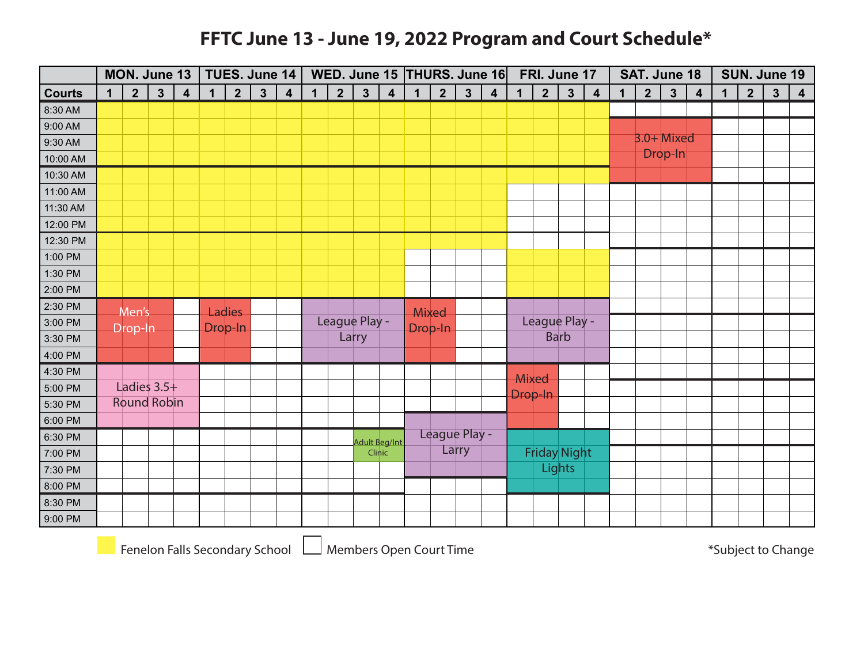#### **FFTC June 13 - June 19, 2022 Program and Court Schedule\***

|               | MON. June 13<br>$\overline{2}$<br>$3\overline{3}$<br>$\mathbf 1$ |                    |  |                         |             | TUES. June 14  |              |                         |             |                |                      |                         |             |                |               | WED. June 15 THURS. June 16 |             |                | FRI. June 17        |                |             | SAT. June 18   |              |   |             |                | SUN. June 19            |                         |
|---------------|------------------------------------------------------------------|--------------------|--|-------------------------|-------------|----------------|--------------|-------------------------|-------------|----------------|----------------------|-------------------------|-------------|----------------|---------------|-----------------------------|-------------|----------------|---------------------|----------------|-------------|----------------|--------------|---|-------------|----------------|-------------------------|-------------------------|
| <b>Courts</b> |                                                                  |                    |  | $\overline{\mathbf{4}}$ | $\mathbf 1$ | 2 <sup>1</sup> | $\mathbf{3}$ | $\overline{\mathbf{4}}$ | $\mathbf 1$ | 2 <sup>1</sup> | $\mathbf{3}$         | $\overline{\mathbf{4}}$ | $\mathbf 1$ | 2 <sup>1</sup> | $\mathbf{3}$  | $\overline{\mathbf{4}}$     | $\mathbf 1$ | 2 <sup>1</sup> | $\mathbf{3}$        | $\overline{4}$ | $\mathbf 1$ | $\overline{2}$ | $\mathbf{3}$ | 4 | $\mathbf 1$ | $\overline{2}$ | $\overline{\mathbf{3}}$ | $\overline{\mathbf{4}}$ |
| 8:30 AM       |                                                                  |                    |  |                         |             |                |              |                         |             |                |                      |                         |             |                |               |                             |             |                |                     |                |             |                |              |   |             |                |                         |                         |
| 9:00 AM       |                                                                  |                    |  |                         |             |                |              |                         |             |                |                      |                         |             |                |               |                             |             |                |                     |                |             |                |              |   |             |                |                         |                         |
| 9:30 AM       |                                                                  |                    |  |                         |             |                |              |                         |             |                |                      |                         |             |                |               |                             |             |                |                     |                |             | 3.0+ Mixed     |              |   |             |                |                         |                         |
| 10:00 AM      |                                                                  |                    |  |                         |             |                |              |                         |             |                |                      |                         |             |                |               |                             |             |                |                     |                |             |                | Drop-In      |   |             |                |                         |                         |
| 10:30 AM      |                                                                  |                    |  |                         |             |                |              |                         |             |                |                      |                         |             |                |               |                             |             |                |                     |                |             |                |              |   |             |                |                         |                         |
| 11:00 AM      |                                                                  |                    |  |                         |             |                |              |                         |             |                |                      |                         |             |                |               |                             |             |                |                     |                |             |                |              |   |             |                |                         |                         |
| 11:30 AM      |                                                                  |                    |  |                         |             |                |              |                         |             |                |                      |                         |             |                |               |                             |             |                |                     |                |             |                |              |   |             |                |                         |                         |
| 12:00 PM      |                                                                  |                    |  |                         |             |                |              |                         |             |                |                      |                         |             |                |               |                             |             |                |                     |                |             |                |              |   |             |                |                         |                         |
| 12:30 PM      |                                                                  |                    |  |                         |             |                |              |                         |             |                |                      |                         |             |                |               |                             |             |                |                     |                |             |                |              |   |             |                |                         |                         |
| 1:00 PM       |                                                                  |                    |  |                         |             |                |              |                         |             |                |                      |                         |             |                |               |                             |             |                |                     |                |             |                |              |   |             |                |                         |                         |
| 1:30 PM       |                                                                  |                    |  |                         |             |                |              |                         |             |                |                      |                         |             |                |               |                             |             |                |                     |                |             |                |              |   |             |                |                         |                         |
| 2:00 PM       |                                                                  |                    |  |                         |             |                |              |                         |             |                |                      |                         |             |                |               |                             |             |                |                     |                |             |                |              |   |             |                |                         |                         |
| 2:30 PM       |                                                                  | Men's              |  |                         |             | <b>Ladies</b>  |              |                         |             |                |                      |                         |             | Mixed          |               |                             |             |                |                     |                |             |                |              |   |             |                |                         |                         |
| 3:00 PM       |                                                                  | Drop-In            |  |                         |             | Drop-In        |              |                         |             | League Play -  |                      |                         |             | Drop-In        |               |                             |             |                | League Play -       |                |             |                |              |   |             |                |                         |                         |
| 3:30 PM       |                                                                  |                    |  |                         |             |                |              |                         |             |                | Larry                |                         |             |                |               |                             |             |                | <b>Barb</b>         |                |             |                |              |   |             |                |                         |                         |
| 4:00 PM       |                                                                  |                    |  |                         |             |                |              |                         |             |                |                      |                         |             |                |               |                             |             |                |                     |                |             |                |              |   |             |                |                         |                         |
| 4:30 PM       |                                                                  |                    |  |                         |             |                |              |                         |             |                |                      |                         |             |                |               |                             |             | Mixed          |                     |                |             |                |              |   |             |                |                         |                         |
| 5:00 PM       |                                                                  | Ladies $3.5+$      |  |                         |             |                |              |                         |             |                |                      |                         |             |                |               |                             |             | Drop-In        |                     |                |             |                |              |   |             |                |                         |                         |
| 5:30 PM       |                                                                  | <b>Round Robin</b> |  |                         |             |                |              |                         |             |                |                      |                         |             |                |               |                             |             |                |                     |                |             |                |              |   |             |                |                         |                         |
| 6:00 PM       |                                                                  |                    |  |                         |             |                |              |                         |             |                |                      |                         |             |                |               |                             |             |                |                     |                |             |                |              |   |             |                |                         |                         |
| 6:30 PM       |                                                                  |                    |  |                         |             |                |              |                         |             |                | <b>Adult Beg/Int</b> |                         |             |                | League Play - |                             |             |                |                     |                |             |                |              |   |             |                |                         |                         |
| 7:00 PM       |                                                                  |                    |  |                         |             |                |              |                         |             |                |                      | Clinic                  |             |                | Larry         |                             |             |                | <b>Friday Night</b> |                |             |                |              |   |             |                |                         |                         |
| 7:30 PM       |                                                                  |                    |  |                         |             |                |              |                         |             |                |                      |                         |             |                |               |                             |             |                | Lights              |                |             |                |              |   |             |                |                         |                         |
| 8:00 PM       |                                                                  |                    |  |                         |             |                |              |                         |             |                |                      |                         |             |                |               |                             |             |                |                     |                |             |                |              |   |             |                |                         |                         |
| 8:30 PM       |                                                                  |                    |  |                         |             |                |              |                         |             |                |                      |                         |             |                |               |                             |             |                |                     |                |             |                |              |   |             |                |                         |                         |
| 9:00 PM       |                                                                  |                    |  |                         |             |                |              |                         |             |                |                      |                         |             |                |               |                             |             |                |                     |                |             |                |              |   |             |                |                         |                         |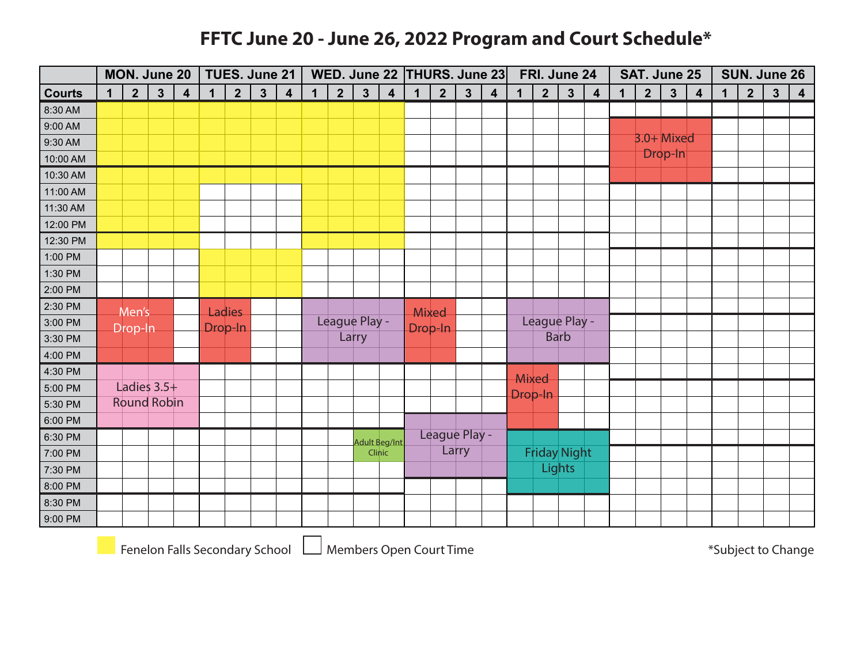#### **FFTC June 20 - June 26, 2022 Program and Court Schedule\***

|               | MON. June 20<br>$\overline{2}$<br>$\mathbf{3}$<br>$\mathbf 1$ |         |                    |                         |             |                | TUES. June 21 |                         |              |                |              |                         | WED. June 22 THURS. June 23 |                |              |                         |             | FRI. June 24        |              |                         |             | SAT. June 25   |              |                         |             |                | SUN. June 26            |                         |
|---------------|---------------------------------------------------------------|---------|--------------------|-------------------------|-------------|----------------|---------------|-------------------------|--------------|----------------|--------------|-------------------------|-----------------------------|----------------|--------------|-------------------------|-------------|---------------------|--------------|-------------------------|-------------|----------------|--------------|-------------------------|-------------|----------------|-------------------------|-------------------------|
| <b>Courts</b> |                                                               |         |                    | $\overline{\mathbf{4}}$ | $\mathbf 1$ | 2 <sup>1</sup> | $\mathbf{3}$  | $\overline{\mathbf{4}}$ | $\mathbf{1}$ | $\overline{2}$ | $\mathbf{3}$ | $\overline{\mathbf{4}}$ | $\mathbf 1$                 | 2 <sup>2</sup> | $\mathbf{3}$ | $\overline{\mathbf{4}}$ | $\mathbf 1$ | $\overline{2}$      | $\mathbf{3}$ | $\overline{\mathbf{4}}$ | $\mathbf 1$ | $\overline{2}$ | $\mathbf{3}$ | $\overline{\mathbf{4}}$ | $\mathbf 1$ | $\overline{2}$ | $\overline{\mathbf{3}}$ | $\overline{\mathbf{4}}$ |
| 8:30 AM       |                                                               |         |                    |                         |             |                |               |                         |              |                |              |                         |                             |                |              |                         |             |                     |              |                         |             |                |              |                         |             |                |                         |                         |
| 9:00 AM       |                                                               |         |                    |                         |             |                |               |                         |              |                |              |                         |                             |                |              |                         |             |                     |              |                         |             |                |              |                         |             |                |                         |                         |
| 9:30 AM       |                                                               |         |                    |                         |             |                |               |                         |              |                |              |                         |                             |                |              |                         |             |                     |              |                         |             | $3.0+$ Mixed   |              |                         |             |                |                         |                         |
| 10:00 AM      |                                                               |         |                    |                         |             |                |               |                         |              |                |              |                         |                             |                |              |                         |             |                     |              |                         |             |                | Drop-In      |                         |             |                |                         |                         |
| 10:30 AM      |                                                               |         |                    |                         |             |                |               |                         |              |                |              |                         |                             |                |              |                         |             |                     |              |                         |             |                |              |                         |             |                |                         |                         |
| 11:00 AM      |                                                               |         |                    |                         |             |                |               |                         |              |                |              |                         |                             |                |              |                         |             |                     |              |                         |             |                |              |                         |             |                |                         |                         |
| 11:30 AM      |                                                               |         |                    |                         |             |                |               |                         |              |                |              |                         |                             |                |              |                         |             |                     |              |                         |             |                |              |                         |             |                |                         |                         |
| 12:00 PM      |                                                               |         |                    |                         |             |                |               |                         |              |                |              |                         |                             |                |              |                         |             |                     |              |                         |             |                |              |                         |             |                |                         |                         |
| 12:30 PM      |                                                               |         |                    |                         |             |                |               |                         |              |                |              |                         |                             |                |              |                         |             |                     |              |                         |             |                |              |                         |             |                |                         |                         |
| 1:00 PM       |                                                               |         |                    |                         |             |                |               |                         |              |                |              |                         |                             |                |              |                         |             |                     |              |                         |             |                |              |                         |             |                |                         |                         |
| 1:30 PM       |                                                               |         |                    |                         |             |                |               |                         |              |                |              |                         |                             |                |              |                         |             |                     |              |                         |             |                |              |                         |             |                |                         |                         |
| 2:00 PM       |                                                               |         |                    |                         |             |                |               |                         |              |                |              |                         |                             |                |              |                         |             |                     |              |                         |             |                |              |                         |             |                |                         |                         |
| 2:30 PM       |                                                               | Men's   |                    |                         |             | <b>Ladies</b>  |               |                         |              |                |              |                         | Mixed                       |                |              |                         |             |                     |              |                         |             |                |              |                         |             |                |                         |                         |
| 3:00 PM       |                                                               | Drop-In |                    |                         |             | Drop-In        |               |                         |              | League Play -  |              |                         | Drop-In                     |                |              |                         |             | League Play -       |              |                         |             |                |              |                         |             |                |                         |                         |
| 3:30 PM       |                                                               |         |                    |                         |             |                |               |                         |              |                | Larry        |                         |                             |                |              |                         |             |                     | <b>Barb</b>  |                         |             |                |              |                         |             |                |                         |                         |
| 4:00 PM       |                                                               |         |                    |                         |             |                |               |                         |              |                |              |                         |                             |                |              |                         |             |                     |              |                         |             |                |              |                         |             |                |                         |                         |
| 4:30 PM       |                                                               |         |                    |                         |             |                |               |                         |              |                |              |                         |                             |                |              |                         | Mixed       |                     |              |                         |             |                |              |                         |             |                |                         |                         |
| 5:00 PM       |                                                               |         | Ladies $3.5+$      |                         |             |                |               |                         |              |                |              |                         |                             |                |              |                         |             | Drop-In             |              |                         |             |                |              |                         |             |                |                         |                         |
| 5:30 PM       |                                                               |         | <b>Round Robin</b> |                         |             |                |               |                         |              |                |              |                         |                             |                |              |                         |             |                     |              |                         |             |                |              |                         |             |                |                         |                         |
| 6:00 PM       |                                                               |         |                    |                         |             |                |               |                         |              |                |              |                         |                             |                |              |                         |             |                     |              |                         |             |                |              |                         |             |                |                         |                         |
| 6:30 PM       |                                                               |         |                    |                         |             |                |               |                         |              |                |              | <b>Adult Beg/Int</b>    |                             | League Play -  |              |                         |             |                     |              |                         |             |                |              |                         |             |                |                         |                         |
| 7:00 PM       |                                                               |         |                    |                         |             |                |               |                         |              |                |              | Clinic                  |                             |                | Larry        |                         |             | <b>Friday Night</b> |              |                         |             |                |              |                         |             |                |                         |                         |
| 7:30 PM       |                                                               |         |                    |                         |             |                |               |                         |              |                |              |                         |                             |                |              |                         |             |                     | Lights       |                         |             |                |              |                         |             |                |                         |                         |
| 8:00 PM       |                                                               |         |                    |                         |             |                |               |                         |              |                |              |                         |                             |                |              |                         |             |                     |              |                         |             |                |              |                         |             |                |                         |                         |
| 8:30 PM       |                                                               |         |                    |                         |             |                |               |                         |              |                |              |                         |                             |                |              |                         |             |                     |              |                         |             |                |              |                         |             |                |                         |                         |
| 9:00 PM       |                                                               |         |                    |                         |             |                |               |                         |              |                |              |                         |                             |                |              |                         |             |                     |              |                         |             |                |              |                         |             |                |                         |                         |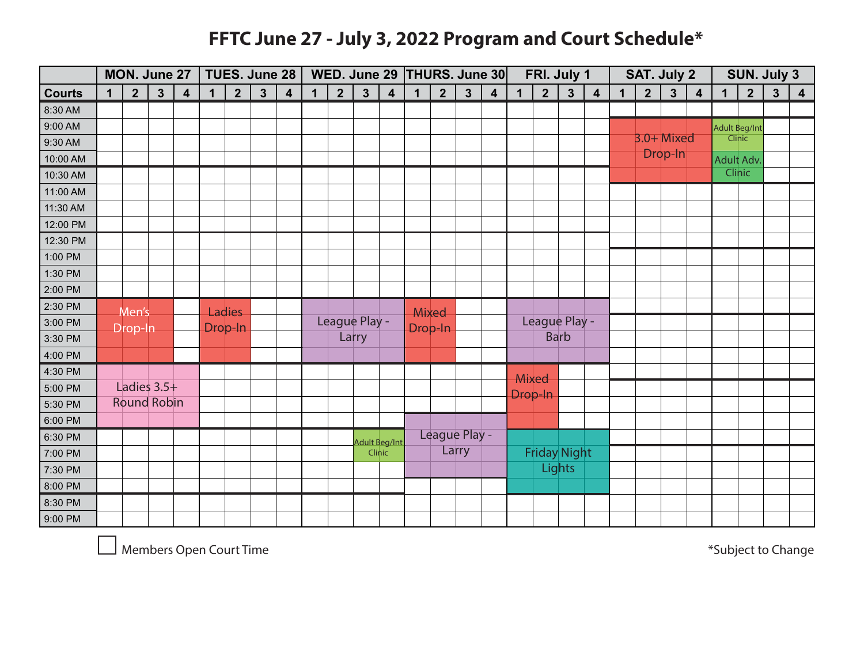### **FFTC June 27 - July 3, 2022 Program and Court Schedule\***

|               | MON. June 27<br>$2\overline{ }$<br>$\mathbf{3}$<br>$\mathbf 1$ |         |                    |                         |             |               | TUES. June 28 |                  |              |                |               |                      |             |                |              | WED. June 29   THURS. June 30 |             | FRI. July 1         |              |                  |             | SAT. July 2    |              |                  |             | SUN. July 3    |              |                         |
|---------------|----------------------------------------------------------------|---------|--------------------|-------------------------|-------------|---------------|---------------|------------------|--------------|----------------|---------------|----------------------|-------------|----------------|--------------|-------------------------------|-------------|---------------------|--------------|------------------|-------------|----------------|--------------|------------------|-------------|----------------|--------------|-------------------------|
| <b>Courts</b> |                                                                |         |                    | $\overline{\mathbf{4}}$ | $\mathbf 1$ | $\mathbf{2}$  | $\mathbf{3}$  | $\boldsymbol{4}$ | $\mathbf{1}$ | $\overline{2}$ | $\mathbf{3}$  | $\boldsymbol{4}$     | $\mathbf 1$ | $\overline{2}$ | $\mathbf{3}$ | $\overline{\mathbf{4}}$       | $\mathbf 1$ | $2\overline{ }$     | $\mathbf{3}$ | $\boldsymbol{4}$ | $\mathbf 1$ | $\overline{2}$ | $\mathbf{3}$ | $\boldsymbol{4}$ | $\mathbf 1$ | $\overline{2}$ | $\mathbf{3}$ | $\overline{\mathbf{4}}$ |
| 8:30 AM       |                                                                |         |                    |                         |             |               |               |                  |              |                |               |                      |             |                |              |                               |             |                     |              |                  |             |                |              |                  |             |                |              |                         |
| 9:00 AM       |                                                                |         |                    |                         |             |               |               |                  |              |                |               |                      |             |                |              |                               |             |                     |              |                  |             |                |              |                  |             | Adult Beg/Int  |              |                         |
| 9:30 AM       |                                                                |         |                    |                         |             |               |               |                  |              |                |               |                      |             |                |              |                               |             |                     |              |                  |             | 3.0+Mixed      |              |                  |             | Clinic         |              |                         |
| 10:00 AM      |                                                                |         |                    |                         |             |               |               |                  |              |                |               |                      |             |                |              |                               |             |                     |              |                  |             |                | Drop-In      |                  |             | Adult Adv.     |              |                         |
| 10:30 AM      |                                                                |         |                    |                         |             |               |               |                  |              |                |               |                      |             |                |              |                               |             |                     |              |                  |             |                |              |                  |             | <b>Clinic</b>  |              |                         |
| 11:00 AM      |                                                                |         |                    |                         |             |               |               |                  |              |                |               |                      |             |                |              |                               |             |                     |              |                  |             |                |              |                  |             |                |              |                         |
| 11:30 AM      |                                                                |         |                    |                         |             |               |               |                  |              |                |               |                      |             |                |              |                               |             |                     |              |                  |             |                |              |                  |             |                |              |                         |
| 12:00 PM      |                                                                |         |                    |                         |             |               |               |                  |              |                |               |                      |             |                |              |                               |             |                     |              |                  |             |                |              |                  |             |                |              |                         |
| 12:30 PM      |                                                                |         |                    |                         |             |               |               |                  |              |                |               |                      |             |                |              |                               |             |                     |              |                  |             |                |              |                  |             |                |              |                         |
| 1:00 PM       |                                                                |         |                    |                         |             |               |               |                  |              |                |               |                      |             |                |              |                               |             |                     |              |                  |             |                |              |                  |             |                |              |                         |
| 1:30 PM       |                                                                |         |                    |                         |             |               |               |                  |              |                |               |                      |             |                |              |                               |             |                     |              |                  |             |                |              |                  |             |                |              |                         |
| 2:00 PM       |                                                                |         |                    |                         |             |               |               |                  |              |                |               |                      |             |                |              |                               |             |                     |              |                  |             |                |              |                  |             |                |              |                         |
| 2:30 PM       |                                                                | Men's   |                    |                         |             | <b>Ladies</b> |               |                  |              |                |               |                      |             | Mixed          |              |                               |             |                     |              |                  |             |                |              |                  |             |                |              |                         |
| 3:00 PM       |                                                                | Drop-In |                    |                         |             | Drop-In       |               |                  |              |                | League Play - |                      |             | Drop-In        |              |                               |             | League Play -       |              |                  |             |                |              |                  |             |                |              |                         |
| 3:30 PM       |                                                                |         |                    |                         |             |               |               |                  |              |                | Larry         |                      |             |                |              |                               |             |                     | <b>Barb</b>  |                  |             |                |              |                  |             |                |              |                         |
| 4:00 PM       |                                                                |         |                    |                         |             |               |               |                  |              |                |               |                      |             |                |              |                               |             |                     |              |                  |             |                |              |                  |             |                |              |                         |
| 4:30 PM       |                                                                |         |                    |                         |             |               |               |                  |              |                |               |                      |             |                |              |                               | Mixed       |                     |              |                  |             |                |              |                  |             |                |              |                         |
| 5:00 PM       |                                                                |         | Ladies $3.5+$      |                         |             |               |               |                  |              |                |               |                      |             |                |              |                               | Drop-In     |                     |              |                  |             |                |              |                  |             |                |              |                         |
| 5:30 PM       |                                                                |         | <b>Round Robin</b> |                         |             |               |               |                  |              |                |               |                      |             |                |              |                               |             |                     |              |                  |             |                |              |                  |             |                |              |                         |
| 6:00 PM       |                                                                |         |                    |                         |             |               |               |                  |              |                |               |                      |             |                |              |                               |             |                     |              |                  |             |                |              |                  |             |                |              |                         |
| 6:30 PM       |                                                                |         |                    |                         |             |               |               |                  |              |                |               | <b>Adult Beg/Int</b> |             | League Play -  |              |                               |             |                     |              |                  |             |                |              |                  |             |                |              |                         |
| 7:00 PM       |                                                                |         |                    |                         |             |               |               |                  |              |                |               | Clinic               |             |                | Larry        |                               |             | <b>Friday Night</b> |              |                  |             |                |              |                  |             |                |              |                         |
| 7:30 PM       |                                                                |         |                    |                         |             |               |               |                  |              |                |               |                      |             |                |              |                               |             |                     | Lights       |                  |             |                |              |                  |             |                |              |                         |
| 8:00 PM       |                                                                |         |                    |                         |             |               |               |                  |              |                |               |                      |             |                |              |                               |             |                     |              |                  |             |                |              |                  |             |                |              |                         |
| 8:30 PM       |                                                                |         |                    |                         |             |               |               |                  |              |                |               |                      |             |                |              |                               |             |                     |              |                  |             |                |              |                  |             |                |              |                         |
| 9:00 PM       |                                                                |         |                    |                         |             |               |               |                  |              |                |               |                      |             |                |              |                               |             |                     |              |                  |             |                |              |                  |             |                |              |                         |

**Members Open Court Time**   $\blacksquare$  Members Open Court Time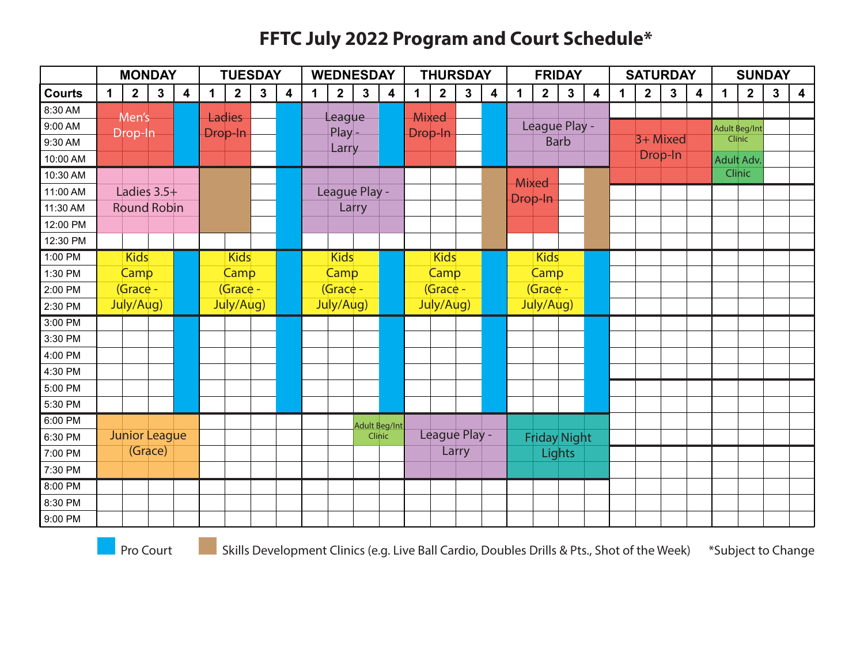#### **FFTC July 2022 Program and Court Schedule\***

|               |                                | <b>MONDAY</b>      |              |   |   | <b>TUESDAY</b> |                      |                         |              | <b>WEDNESDAY</b> |                         |                         |              | <b>THURSDAY</b> |              |   |              |                | <b>FRIDAY</b> |                         |             | <b>SATURDAY</b> |             |                         |               | <b>SUNDAY</b> |                         |                         |
|---------------|--------------------------------|--------------------|--------------|---|---|----------------|----------------------|-------------------------|--------------|------------------|-------------------------|-------------------------|--------------|-----------------|--------------|---|--------------|----------------|---------------|-------------------------|-------------|-----------------|-------------|-------------------------|---------------|---------------|-------------------------|-------------------------|
| <b>Courts</b> | $\mathbf 1$                    | $\overline{2}$     | $\mathbf{3}$ | 4 | 1 | $\overline{2}$ | $\mathbf{3}$         | $\overline{\mathbf{4}}$ | $\mathbf{1}$ | $\overline{2}$   | $\overline{\mathbf{3}}$ | $\overline{\mathbf{4}}$ | 1            | $\overline{2}$  | $\mathbf{3}$ | 4 | $\mathbf{1}$ | $\overline{2}$ | $\mathbf{3}$  | $\overline{\mathbf{4}}$ | $\mathbf 1$ | $\overline{2}$  | $\mathbf 3$ | $\overline{\mathbf{4}}$ | 1             | $\mathbf{2}$  | $\overline{\mathbf{3}}$ | $\overline{\mathbf{4}}$ |
| 8:30 AM       |                                | Men's              |              |   |   | Ladies         |                      |                         |              | League           |                         |                         | <b>Mixed</b> |                 |              |   |              |                |               |                         |             |                 |             |                         |               |               |                         |                         |
| 9:00 AM       |                                |                    |              |   |   | Drop-In        |                      |                         |              | $Play -$         |                         |                         | Drop-In      |                 |              |   |              | League Play -  |               |                         |             |                 |             |                         | Adult Beg/Int |               |                         |                         |
| 9:30 AM       | Drop-In                        |                    |              |   |   |                |                      |                         |              | Larry            |                         |                         |              |                 |              |   |              |                | <b>Barb</b>   |                         |             | 3+ Mixed        |             |                         |               | Clinic        |                         |                         |
| 10:00 AM      |                                |                    |              |   |   |                |                      |                         |              |                  |                         |                         |              |                 |              |   |              |                |               |                         |             |                 | Drop-In     |                         | Adult Adv.    |               |                         |                         |
| 10:30 AM      |                                |                    |              |   |   |                |                      |                         |              |                  |                         |                         |              |                 |              |   | Mixed        |                |               |                         |             |                 |             |                         |               | <b>Clinic</b> |                         |                         |
| 11:00 AM      |                                | Ladies $3.5+$      |              |   |   |                |                      |                         |              | League Play -    |                         |                         |              |                 |              |   | Drop-In      |                |               |                         |             |                 |             |                         |               |               |                         |                         |
| 11:30 AM      |                                | <b>Round Robin</b> |              |   |   |                |                      |                         |              |                  | Larry                   |                         |              |                 |              |   |              |                |               |                         |             |                 |             |                         |               |               |                         |                         |
| 12:00 PM      |                                |                    |              |   |   |                |                      |                         |              |                  |                         |                         |              |                 |              |   |              |                |               |                         |             |                 |             |                         |               |               |                         |                         |
| 12:30 PM      |                                |                    |              |   |   |                |                      |                         |              |                  |                         |                         |              |                 |              |   |              |                |               |                         |             |                 |             |                         |               |               |                         |                         |
| 1:00 PM       |                                | <b>Kids</b>        |              |   |   | <b>Kids</b>    |                      |                         |              | <b>Kids</b>      |                         |                         |              | <b>Kids</b>     |              |   |              | <b>Kids</b>    |               |                         |             |                 |             |                         |               |               |                         |                         |
| 1:30 PM       |                                | Camp               |              |   |   | Camp           |                      |                         |              | Camp             |                         |                         |              | Camp            |              |   |              | Camp           |               |                         |             |                 |             |                         |               |               |                         |                         |
| 2:00 PM       |                                | (Grace -           |              |   |   | (Grace -       |                      |                         |              | (Grace -         |                         |                         |              | (Grace -        |              |   |              | (Grace -       |               |                         |             |                 |             |                         |               |               |                         |                         |
| 2:30 PM       |                                | July/Aug)          |              |   |   | July/Aug)      |                      |                         |              | July/Aug)        |                         |                         |              | July/Aug)       |              |   |              | July/Aug)      |               |                         |             |                 |             |                         |               |               |                         |                         |
| 3:00 PM       |                                |                    |              |   |   |                |                      |                         |              |                  |                         |                         |              |                 |              |   |              |                |               |                         |             |                 |             |                         |               |               |                         |                         |
| 3:30 PM       |                                |                    |              |   |   |                |                      |                         |              |                  |                         |                         |              |                 |              |   |              |                |               |                         |             |                 |             |                         |               |               |                         |                         |
| 4:00 PM       |                                |                    |              |   |   |                |                      |                         |              |                  |                         |                         |              |                 |              |   |              |                |               |                         |             |                 |             |                         |               |               |                         |                         |
| 4:30 PM       |                                |                    |              |   |   |                |                      |                         |              |                  |                         |                         |              |                 |              |   |              |                |               |                         |             |                 |             |                         |               |               |                         |                         |
| 5:00 PM       |                                |                    |              |   |   |                |                      |                         |              |                  |                         |                         |              |                 |              |   |              |                |               |                         |             |                 |             |                         |               |               |                         |                         |
| 5:30 PM       |                                |                    |              |   |   |                |                      |                         |              |                  |                         |                         |              |                 |              |   |              |                |               |                         |             |                 |             |                         |               |               |                         |                         |
| 6:00 PM       |                                |                    |              |   |   |                | <b>Adult Beg/Int</b> |                         |              |                  |                         |                         |              |                 |              |   |              |                |               |                         |             |                 |             |                         |               |               |                         |                         |
| 6:30 PM       | <b>Junior League</b><br>Clinic |                    |              |   |   |                |                      | League Play -           |              |                  |                         | <b>Friday Night</b>     |              |                 |              |   |              |                |               |                         |             |                 |             |                         |               |               |                         |                         |
| 7:00 PM       | (Grace)                        |                    |              |   |   |                |                      | Larry                   |              |                  |                         |                         | Lights       |                 |              |   |              |                |               |                         |             |                 |             |                         |               |               |                         |                         |
| 7:30 PM       |                                |                    |              |   |   |                |                      |                         |              |                  |                         |                         |              |                 |              |   |              |                |               |                         |             |                 |             |                         |               |               |                         |                         |
| 8:00 PM       |                                |                    |              |   |   |                |                      |                         |              |                  |                         |                         |              |                 |              |   |              |                |               |                         |             |                 |             |                         |               |               |                         |                         |
| 8:30 PM       |                                |                    |              |   |   |                |                      |                         |              |                  |                         |                         |              |                 |              |   |              |                |               |                         |             |                 |             |                         |               |               |                         |                         |
| 9:00 PM       |                                |                    |              |   |   |                |                      |                         |              |                  |                         |                         |              |                 |              |   |              |                |               |                         |             |                 |             |                         |               |               |                         |                         |

\*Subject to Change Pro Court Skills Development Clinics (e.g. Live Ball Cardio, Doubles Drills & Pts., Shot of the Week)